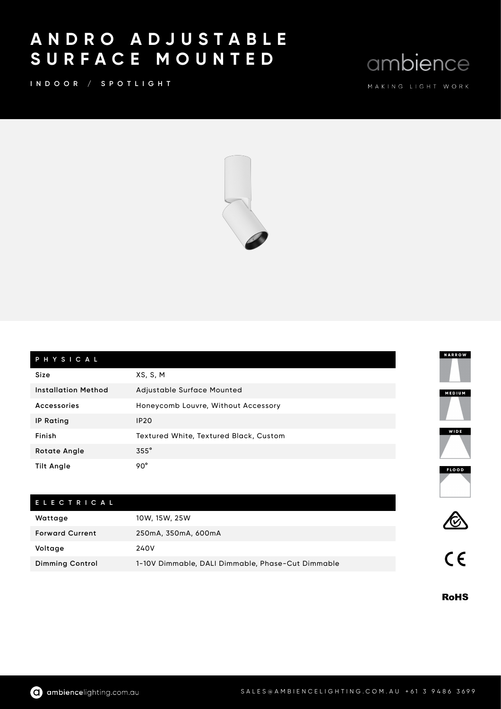## A N D R O A D J U S T A B L E S U R F A C E M O U N T E D

INDOOR / SPOTLIGHT

ambience



| PHYSICAL                   |                                        |  |
|----------------------------|----------------------------------------|--|
| Size                       | XS, S, M                               |  |
| <b>Installation Method</b> | Adjustable Surface Mounted             |  |
| Accessories                | Honeycomb Louvre, Without Accessory    |  |
| <b>IP Rating</b>           | <b>IP20</b>                            |  |
| Finish                     | Textured White, Textured Black, Custom |  |
| <b>Rotate Angle</b>        | $355^\circ$                            |  |
| <b>Tilt Angle</b>          | 90°                                    |  |
| <b>ELECTRICAL</b>          |                                        |  |

| Wattage                | 10W, 15W, 25W                                     |  |
|------------------------|---------------------------------------------------|--|
| <b>Forward Current</b> | 250mA, 350mA, 600mA                               |  |
| Voltage                | 240V                                              |  |
| <b>Dimming Control</b> | 1-10V Dimmable, DALI Dimmable, Phase-Cut Dimmable |  |

**RoHS**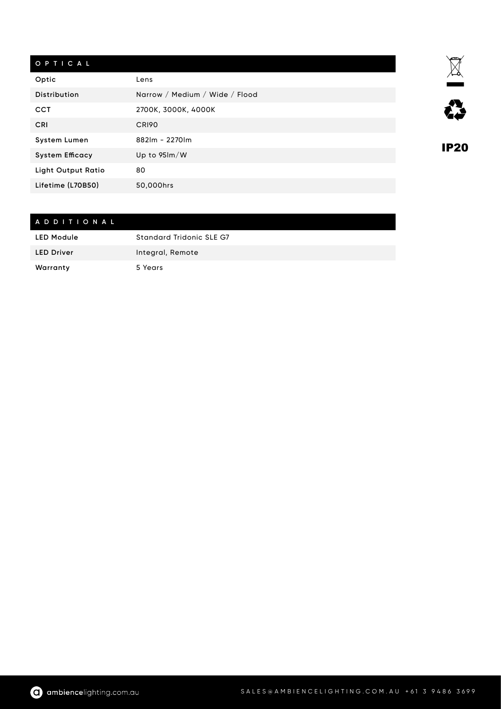## O P T I C A L

| Optic                  | Lens                             |
|------------------------|----------------------------------|
| <b>Distribution</b>    | Narrow / Medium / Wide / Flood   |
| <b>CCT</b>             | 2700K, 3000K, 4000K              |
| CRI                    | CRI90                            |
| <b>System Lumen</b>    | 882lm - 2270lm                   |
| <b>System Efficacy</b> | Up to $95 \, \text{Im}/\text{W}$ |
| Light Output Ratio     | 80                               |
| Lifetime (L70B50)      | 50.000hrs                        |

## A D D I T I O N A L

| <b>LED Module</b> | Standard Tridonic SLE G7 |
|-------------------|--------------------------|
| <b>LED Driver</b> | Integral, Remote         |
| Warranty          | 5 Years                  |



**IP20**